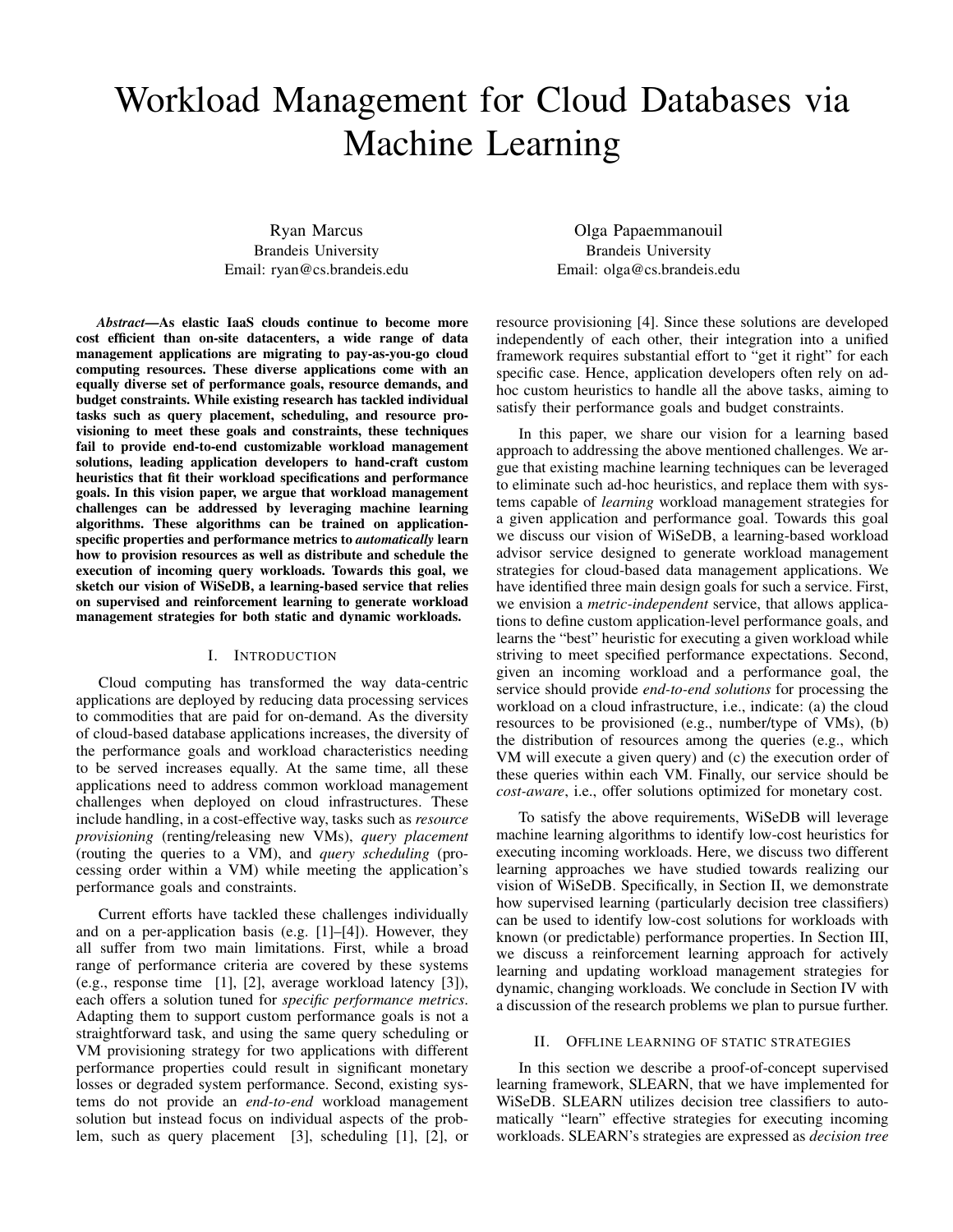# Workload Management for Cloud Databases via Machine Learning

Ryan Marcus Brandeis University Email: ryan@cs.brandeis.edu

Olga Papaemmanouil Brandeis University Email: olga@cs.brandeis.edu

*Abstract*—As elastic IaaS clouds continue to become more cost efficient than on-site datacenters, a wide range of data management applications are migrating to pay-as-you-go cloud computing resources. These diverse applications come with an equally diverse set of performance goals, resource demands, and budget constraints. While existing research has tackled individual tasks such as query placement, scheduling, and resource provisioning to meet these goals and constraints, these techniques fail to provide end-to-end customizable workload management solutions, leading application developers to hand-craft custom heuristics that fit their workload specifications and performance goals. In this vision paper, we argue that workload management challenges can be addressed by leveraging machine learning algorithms. These algorithms can be trained on applicationspecific properties and performance metrics to *automatically* learn how to provision resources as well as distribute and schedule the execution of incoming query workloads. Towards this goal, we sketch our vision of WiSeDB, a learning-based service that relies on supervised and reinforcement learning to generate workload management strategies for both static and dynamic workloads.

# I. INTRODUCTION

Cloud computing has transformed the way data-centric applications are deployed by reducing data processing services to commodities that are paid for on-demand. As the diversity of cloud-based database applications increases, the diversity of the performance goals and workload characteristics needing to be served increases equally. At the same time, all these applications need to address common workload management challenges when deployed on cloud infrastructures. These include handling, in a cost-effective way, tasks such as *resource provisioning* (renting/releasing new VMs), *query placement* (routing the queries to a VM), and *query scheduling* (processing order within a VM) while meeting the application's performance goals and constraints.

Current efforts have tackled these challenges individually and on a per-application basis (e.g. [1]–[4]). However, they all suffer from two main limitations. First, while a broad range of performance criteria are covered by these systems (e.g., response time [1], [2], average workload latency [3]), each offers a solution tuned for *specific performance metrics*. Adapting them to support custom performance goals is not a straightforward task, and using the same query scheduling or VM provisioning strategy for two applications with different performance properties could result in significant monetary losses or degraded system performance. Second, existing systems do not provide an *end-to-end* workload management solution but instead focus on individual aspects of the problem, such as query placement [3], scheduling [1], [2], or

resource provisioning [4]. Since these solutions are developed independently of each other, their integration into a unified framework requires substantial effort to "get it right" for each specific case. Hence, application developers often rely on adhoc custom heuristics to handle all the above tasks, aiming to satisfy their performance goals and budget constraints.

In this paper, we share our vision for a learning based approach to addressing the above mentioned challenges. We argue that existing machine learning techniques can be leveraged to eliminate such ad-hoc heuristics, and replace them with systems capable of *learning* workload management strategies for a given application and performance goal. Towards this goal we discuss our vision of WiSeDB, a learning-based workload advisor service designed to generate workload management strategies for cloud-based data management applications. We have identified three main design goals for such a service. First, we envision a *metric-independent* service, that allows applications to define custom application-level performance goals, and learns the "best" heuristic for executing a given workload while striving to meet specified performance expectations. Second, given an incoming workload and a performance goal, the service should provide *end-to-end solutions* for processing the workload on a cloud infrastructure, i.e., indicate: (a) the cloud resources to be provisioned (e.g., number/type of VMs), (b) the distribution of resources among the queries (e.g., which VM will execute a given query) and (c) the execution order of these queries within each VM. Finally, our service should be *cost-aware*, i.e., offer solutions optimized for monetary cost.

To satisfy the above requirements, WiSeDB will leverage machine learning algorithms to identify low-cost heuristics for executing incoming workloads. Here, we discuss two different learning approaches we have studied towards realizing our vision of WiSeDB. Specifically, in Section II, we demonstrate how supervised learning (particularly decision tree classifiers) can be used to identify low-cost solutions for workloads with known (or predictable) performance properties. In Section III, we discuss a reinforcement learning approach for actively learning and updating workload management strategies for dynamic, changing workloads. We conclude in Section IV with a discussion of the research problems we plan to pursue further.

#### II. OFFLINE LEARNING OF STATIC STRATEGIES

In this section we describe a proof-of-concept supervised learning framework, SLEARN, that we have implemented for WiSeDB. SLEARN utilizes decision tree classifiers to automatically "learn" effective strategies for executing incoming workloads. SLEARN's strategies are expressed as *decision tree*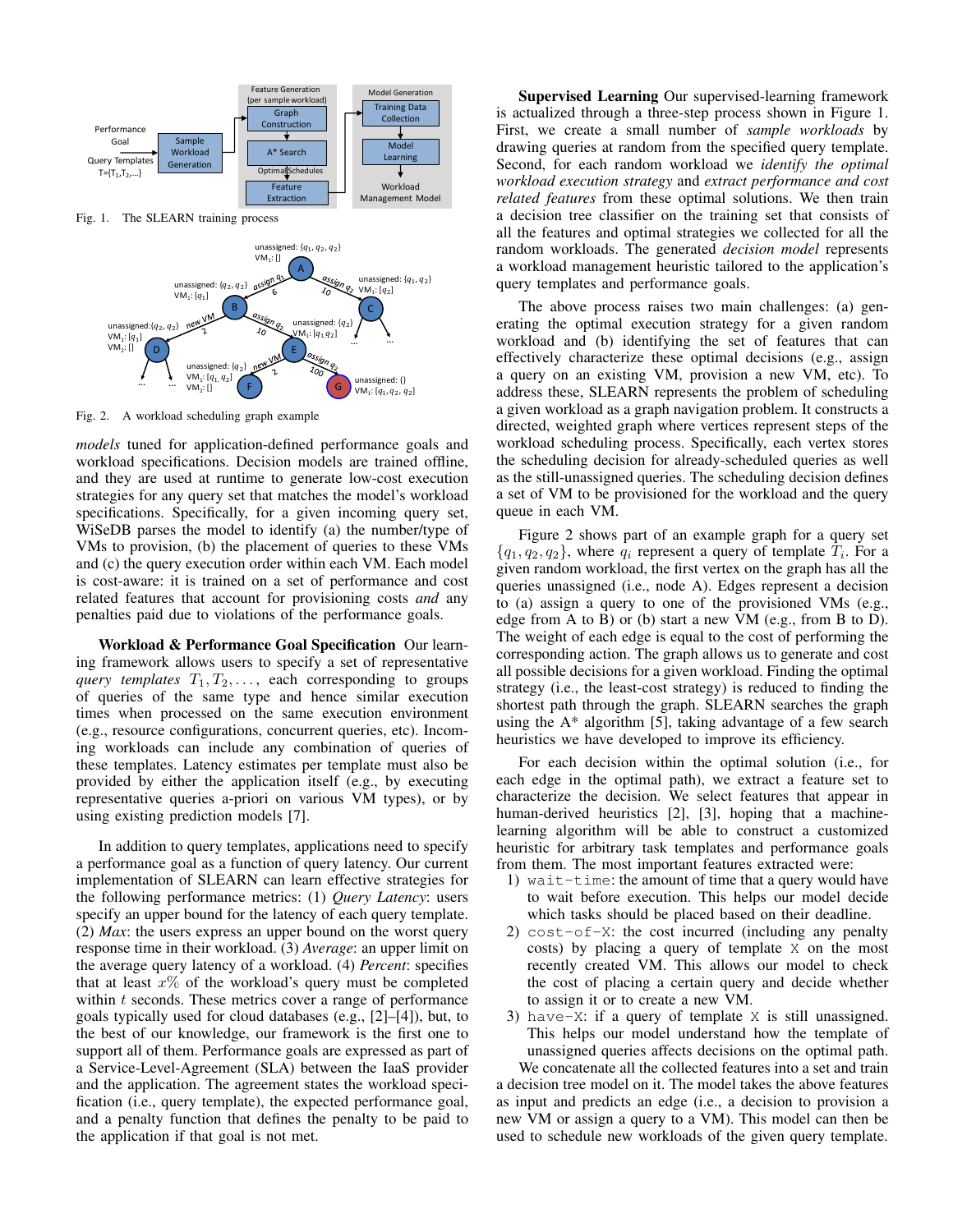

Fig. 2. A workload scheduling graph example

*models* tuned for application-defined performance goals and workload specifications. Decision models are trained offline, and they are used at runtime to generate low-cost execution strategies for any query set that matches the model's workload specifications. Specifically, for a given incoming query set, WiSeDB parses the model to identify (a) the number/type of VMs to provision, (b) the placement of queries to these VMs and (c) the query execution order within each VM. Each model is cost-aware: it is trained on a set of performance and cost related features that account for provisioning costs *and* any penalties paid due to violations of the performance goals.

Workload & Performance Goal Specification Our learning framework allows users to specify a set of representative *query templates*  $T_1, T_2, \ldots$ , each corresponding to groups of queries of the same type and hence similar execution times when processed on the same execution environment (e.g., resource configurations, concurrent queries, etc). Incoming workloads can include any combination of queries of these templates. Latency estimates per template must also be provided by either the application itself (e.g., by executing representative queries a-priori on various VM types), or by using existing prediction models [7].

In addition to query templates, applications need to specify a performance goal as a function of query latency. Our current implementation of SLEARN can learn effective strategies for the following performance metrics: (1) *Query Latency*: users specify an upper bound for the latency of each query template. (2) *Max*: the users express an upper bound on the worst query response time in their workload. (3) *Average*: an upper limit on the average query latency of a workload. (4) *Percent*: specifies that at least  $x\%$  of the workload's query must be completed within t seconds. These metrics cover a range of performance goals typically used for cloud databases (e.g., [2]–[4]), but, to the best of our knowledge, our framework is the first one to support all of them. Performance goals are expressed as part of a Service-Level-Agreement (SLA) between the IaaS provider and the application. The agreement states the workload specification (i.e., query template), the expected performance goal, and a penalty function that defines the penalty to be paid to the application if that goal is not met.

Supervised Learning Our supervised-learning framework is actualized through a three-step process shown in Figure 1. First, we create a small number of *sample workloads* by drawing queries at random from the specified query template. Second, for each random workload we *identify the optimal workload execution strategy* and *extract performance and cost related features* from these optimal solutions. We then train a decision tree classifier on the training set that consists of all the features and optimal strategies we collected for all the random workloads. The generated *decision model* represents a workload management heuristic tailored to the application's query templates and performance goals.

The above process raises two main challenges: (a) generating the optimal execution strategy for a given random workload and (b) identifying the set of features that can effectively characterize these optimal decisions (e.g., assign a query on an existing VM, provision a new VM, etc). To address these, SLEARN represents the problem of scheduling a given workload as a graph navigation problem. It constructs a directed, weighted graph where vertices represent steps of the workload scheduling process. Specifically, each vertex stores the scheduling decision for already-scheduled queries as well as the still-unassigned queries. The scheduling decision defines a set of VM to be provisioned for the workload and the query queue in each VM.

Figure 2 shows part of an example graph for a query set  ${q_1, q_2, q_2}$ , where  $q_i$  represent a query of template  $T_i$ . For a given random workload, the first vertex on the graph has all the queries unassigned (i.e., node A). Edges represent a decision to (a) assign a query to one of the provisioned VMs (e.g., edge from A to B) or (b) start a new VM (e.g., from B to D). The weight of each edge is equal to the cost of performing the corresponding action. The graph allows us to generate and cost all possible decisions for a given workload. Finding the optimal strategy (i.e., the least-cost strategy) is reduced to finding the shortest path through the graph. SLEARN searches the graph using the  $A^*$  algorithm [5], taking advantage of a few search heuristics we have developed to improve its efficiency.

For each decision within the optimal solution (i.e., for each edge in the optimal path), we extract a feature set to characterize the decision. We select features that appear in human-derived heuristics [2], [3], hoping that a machinelearning algorithm will be able to construct a customized heuristic for arbitrary task templates and performance goals from them. The most important features extracted were:

- 1) wait-time: the amount of time that a query would have to wait before execution. This helps our model decide which tasks should be placed based on their deadline.
- 2) cost-of-X: the cost incurred (including any penalty costs) by placing a query of template X on the most recently created VM. This allows our model to check the cost of placing a certain query and decide whether to assign it or to create a new VM.
- 3) have-X: if a query of template X is still unassigned. This helps our model understand how the template of unassigned queries affects decisions on the optimal path. We concatenate all the collected features into a set and train

a decision tree model on it. The model takes the above features as input and predicts an edge (i.e., a decision to provision a new VM or assign a query to a VM). This model can then be used to schedule new workloads of the given query template.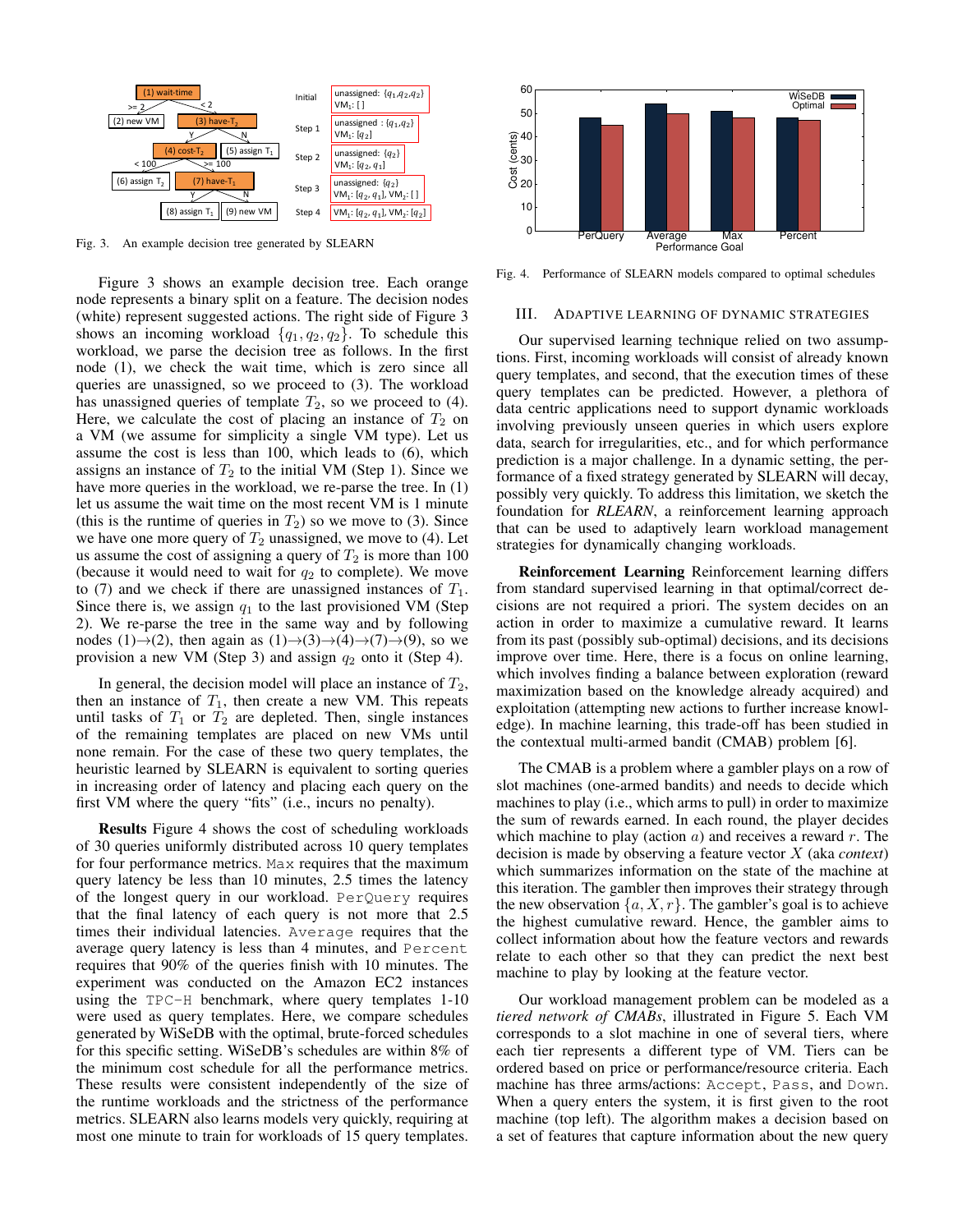

Fig. 3. An example decision tree generated by SLEARN

Figure 3 shows an example decision tree. Each orange node represents a binary split on a feature. The decision nodes (white) represent suggested actions. The right side of Figure 3 shows an incoming workload  $\{q_1, q_2, q_2\}$ . To schedule this workload, we parse the decision tree as follows. In the first node (1), we check the wait time, which is zero since all queries are unassigned, so we proceed to (3). The workload has unassigned queries of template  $T_2$ , so we proceed to (4). Here, we calculate the cost of placing an instance of  $T_2$  on a VM (we assume for simplicity a single VM type). Let us assume the cost is less than 100, which leads to (6), which assigns an instance of  $T_2$  to the initial VM (Step 1). Since we have more queries in the workload, we re-parse the tree. In (1) let us assume the wait time on the most recent VM is 1 minute (this is the runtime of queries in  $T_2$ ) so we move to (3). Since we have one more query of  $T_2$  unassigned, we move to (4). Let us assume the cost of assigning a query of  $T_2$  is more than 100 (because it would need to wait for  $q_2$  to complete). We move to (7) and we check if there are unassigned instances of  $T_1$ . Since there is, we assign  $q_1$  to the last provisioned VM (Step 2). We re-parse the tree in the same way and by following nodes (1) $\rightarrow$ (2), then again as (1) $\rightarrow$ (3) $\rightarrow$ (4) $\rightarrow$ (7) $\rightarrow$ (9), so we provision a new VM (Step 3) and assign  $q_2$  onto it (Step 4).

In general, the decision model will place an instance of  $T_2$ , then an instance of  $T_1$ , then create a new VM. This repeats until tasks of  $T_1$  or  $T_2$  are depleted. Then, single instances of the remaining templates are placed on new VMs until none remain. For the case of these two query templates, the heuristic learned by SLEARN is equivalent to sorting queries in increasing order of latency and placing each query on the first VM where the query "fits" (i.e., incurs no penalty).

Results Figure 4 shows the cost of scheduling workloads of 30 queries uniformly distributed across 10 query templates for four performance metrics. Max requires that the maximum query latency be less than 10 minutes, 2.5 times the latency of the longest query in our workload. PerQuery requires that the final latency of each query is not more that 2.5 times their individual latencies. Average requires that the average query latency is less than 4 minutes, and Percent requires that 90% of the queries finish with 10 minutes. The experiment was conducted on the Amazon EC2 instances using the TPC-H benchmark, where query templates 1-10 were used as query templates. Here, we compare schedules generated by WiSeDB with the optimal, brute-forced schedules for this specific setting. WiSeDB's schedules are within 8% of the minimum cost schedule for all the performance metrics. These results were consistent independently of the size of the runtime workloads and the strictness of the performance metrics. SLEARN also learns models very quickly, requiring at most one minute to train for workloads of 15 query templates.



Fig. 4. Performance of SLEARN models compared to optimal schedules

# III. ADAPTIVE LEARNING OF DYNAMIC STRATEGIES

Our supervised learning technique relied on two assumptions. First, incoming workloads will consist of already known query templates, and second, that the execution times of these query templates can be predicted. However, a plethora of data centric applications need to support dynamic workloads involving previously unseen queries in which users explore data, search for irregularities, etc., and for which performance prediction is a major challenge. In a dynamic setting, the performance of a fixed strategy generated by SLEARN will decay, possibly very quickly. To address this limitation, we sketch the foundation for *RLEARN*, a reinforcement learning approach that can be used to adaptively learn workload management strategies for dynamically changing workloads.

Reinforcement Learning Reinforcement learning differs from standard supervised learning in that optimal/correct decisions are not required a priori. The system decides on an action in order to maximize a cumulative reward. It learns from its past (possibly sub-optimal) decisions, and its decisions improve over time. Here, there is a focus on online learning, which involves finding a balance between exploration (reward maximization based on the knowledge already acquired) and exploitation (attempting new actions to further increase knowledge). In machine learning, this trade-off has been studied in the contextual multi-armed bandit (CMAB) problem [6].

The CMAB is a problem where a gambler plays on a row of slot machines (one-armed bandits) and needs to decide which machines to play (i.e., which arms to pull) in order to maximize the sum of rewards earned. In each round, the player decides which machine to play (action  $a$ ) and receives a reward  $r$ . The decision is made by observing a feature vector X (aka *context*) which summarizes information on the state of the machine at this iteration. The gambler then improves their strategy through the new observation  $\{a, X, r\}$ . The gambler's goal is to achieve the highest cumulative reward. Hence, the gambler aims to collect information about how the feature vectors and rewards relate to each other so that they can predict the next best machine to play by looking at the feature vector.

Our workload management problem can be modeled as a *tiered network of CMABs*, illustrated in Figure 5. Each VM corresponds to a slot machine in one of several tiers, where each tier represents a different type of VM. Tiers can be ordered based on price or performance/resource criteria. Each machine has three arms/actions: Accept, Pass, and Down. When a query enters the system, it is first given to the root machine (top left). The algorithm makes a decision based on a set of features that capture information about the new query